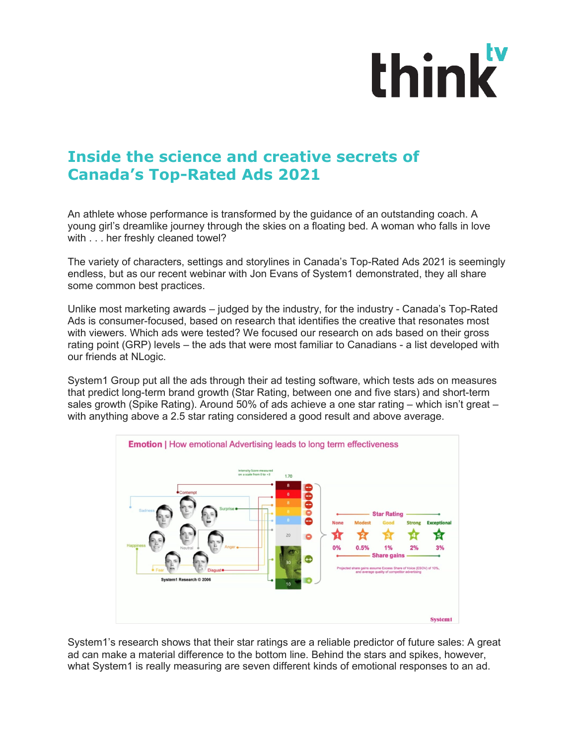## think

## **Inside the science and creative secrets of Canada's Top-Rated Ads 2021**

An athlete whose performance is transformed by the guidance of an outstanding coach. A young girl's dreamlike journey through the skies on a floating bed. A woman who falls in love with . . . her freshly cleaned towel?

The variety of characters, settings and storylines in Canada's Top-Rated Ads 2021 is seemingly endless, but as our recent webinar with Jon Evans of System1 demonstrated, they all share some common best practices.

Unlike most marketing awards – judged by the industry, for the industry - Canada's Top-Rated Ads is consumer-focused, based on research that identifies the creative that resonates most with viewers. Which ads were tested? We focused our research on ads based on their gross rating point (GRP) levels – the ads that were most familiar to Canadians - a list developed with our friends at NLogic.

System1 Group put all the ads through their ad testing software, which tests ads on measures that predict long-term brand growth (Star Rating, between one and five stars) and short-term sales growth (Spike Rating). Around 50% of ads achieve a one star rating – which isn't great – with anything above a 2.5 star rating considered a good result and above average.



System1's research shows that their star ratings are a reliable predictor of future sales: A great ad can make a material difference to the bottom line. Behind the stars and spikes, however, what System1 is really measuring are seven different kinds of emotional responses to an ad.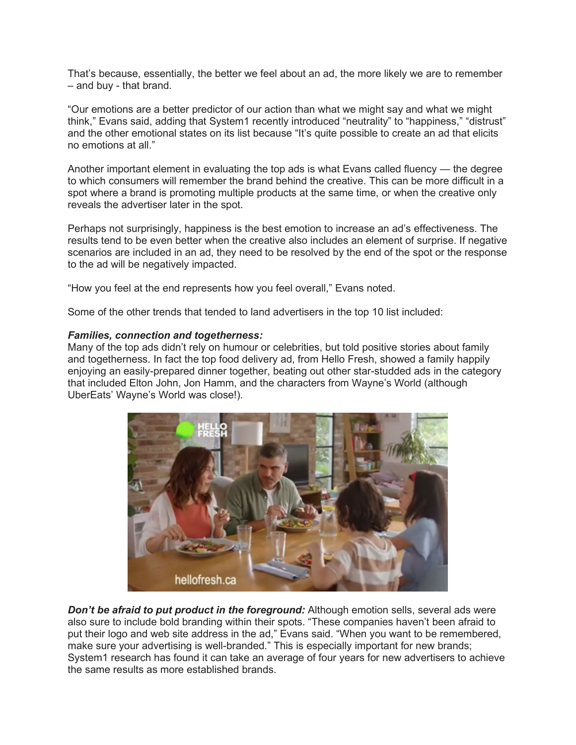That's because, essentially, the better we feel about an ad, the more likely we are to remember – and buy - that brand.

"Our emotions are a better predictor of our action than what we might say and what we might think," Evans said, adding that System1 recently introduced "neutrality" to "happiness," "distrust" and the other emotional states on its list because "It's quite possible to create an ad that elicits no emotions at all."

Another important element in evaluating the top ads is what Evans called fluency — the degree to which consumers will remember the brand behind the creative. This can be more difficult in a spot where a brand is promoting multiple products at the same time, or when the creative only reveals the advertiser later in the spot.

Perhaps not surprisingly, happiness is the best emotion to increase an ad's effectiveness. The results tend to be even better when the creative also includes an element of surprise. If negative scenarios are included in an ad, they need to be resolved by the end of the spot or the response to the ad will be negatively impacted.

"How you feel at the end represents how you feel overall," Evans noted.

Some of the other trends that tended to land advertisers in the top 10 list included:

## *Families, connection and togetherness:*

Many of the top ads didn't rely on humour or celebrities, but told positive stories about family and togetherness. In fact the top food delivery ad, from Hello Fresh, showed a family happily enjoying an easily-prepared dinner together, beating out other star-studded ads in the category that included Elton John, Jon Hamm, and the characters from Wayne's World (although UberEats' Wayne's World was close!).



**Don't be afraid to put product in the foreground:** Although emotion sells, several ads were also sure to include bold branding within their spots. "These companies haven't been afraid to put their logo and web site address in the ad," Evans said. "When you want to be remembered, make sure your advertising is well-branded." This is especially important for new brands; System1 research has found it can take an average of four years for new advertisers to achieve the same results as more established brands.